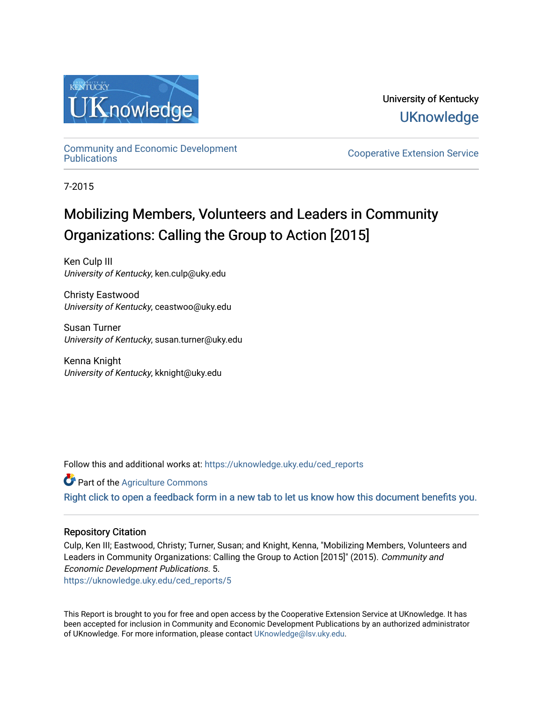

University of Kentucky **UKnowledge** 

[Community and Economic Development](https://uknowledge.uky.edu/ced_reports) 

**Cooperative Extension Service** 

7-2015

## Mobilizing Members, Volunteers and Leaders in Community Organizations: Calling the Group to Action [2015]

Ken Culp III University of Kentucky, ken.culp@uky.edu

Christy Eastwood University of Kentucky, ceastwoo@uky.edu

Susan Turner University of Kentucky, susan.turner@uky.edu

Kenna Knight University of Kentucky, kknight@uky.edu

Follow this and additional works at: [https://uknowledge.uky.edu/ced\\_reports](https://uknowledge.uky.edu/ced_reports?utm_source=uknowledge.uky.edu%2Fced_reports%2F5&utm_medium=PDF&utm_campaign=PDFCoverPages)

Part of the [Agriculture Commons](http://network.bepress.com/hgg/discipline/1076?utm_source=uknowledge.uky.edu%2Fced_reports%2F5&utm_medium=PDF&utm_campaign=PDFCoverPages)

[Right click to open a feedback form in a new tab to let us know how this document benefits you.](https://uky.az1.qualtrics.com/jfe/form/SV_9mq8fx2GnONRfz7)

#### Repository Citation

Culp, Ken III; Eastwood, Christy; Turner, Susan; and Knight, Kenna, "Mobilizing Members, Volunteers and Leaders in Community Organizations: Calling the Group to Action [2015]" (2015). Community and Economic Development Publications. 5.

[https://uknowledge.uky.edu/ced\\_reports/5](https://uknowledge.uky.edu/ced_reports/5?utm_source=uknowledge.uky.edu%2Fced_reports%2F5&utm_medium=PDF&utm_campaign=PDFCoverPages) 

This Report is brought to you for free and open access by the Cooperative Extension Service at UKnowledge. It has been accepted for inclusion in Community and Economic Development Publications by an authorized administrator of UKnowledge. For more information, please contact [UKnowledge@lsv.uky.edu.](mailto:UKnowledge@lsv.uky.edu)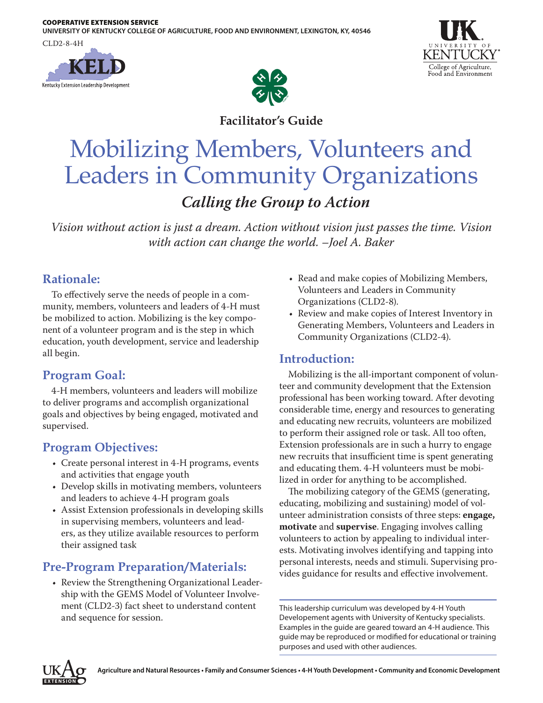COOPERATIVE EXTENSION SERVICE

**UNIVERSITY OF KENTUCKY COLLEGE OF AGRICULTURE, FOOD AND ENVIRONMENT, LEXINGTON, KY, 40546**

CLD2-8-4H







**Facilitator's Guide**

# Mobilizing Members, Volunteers and Leaders in Community Organizations *Calling the Group to Action*

*Vision without action is just a dream. Action without vision just passes the time. Vision with action can change the world. –Joel A. Baker*

## **Rationale:**

To effectively serve the needs of people in a community, members, volunteers and leaders of 4-H must be mobilized to action. Mobilizing is the key component of a volunteer program and is the step in which education, youth development, service and leadership all begin.

## **Program Goal:**

4-H members, volunteers and leaders will mobilize to deliver programs and accomplish organizational goals and objectives by being engaged, motivated and supervised.

## **Program Objectives:**

- Create personal interest in 4-H programs, events and activities that engage youth
- Develop skills in motivating members, volunteers and leaders to achieve 4-H program goals
- Assist Extension professionals in developing skills in supervising members, volunteers and leaders, as they utilize available resources to perform their assigned task

## **Pre-Program Preparation/Materials:**

• Review the Strengthening Organizational Leadership with the GEMS Model of Volunteer Involvement (CLD2-3) fact sheet to understand content and sequence for session.

- Read and make copies of Mobilizing Members, Volunteers and Leaders in Community Organizations (CLD2-8).
- Review and make copies of Interest Inventory in Generating Members, Volunteers and Leaders in Community Organizations (CLD2-4).

### **Introduction:**

Mobilizing is the all-important component of volunteer and community development that the Extension professional has been working toward. After devoting considerable time, energy and resources to generating and educating new recruits, volunteers are mobilized to perform their assigned role or task. All too often, Extension professionals are in such a hurry to engage new recruits that insufficient time is spent generating and educating them. 4-H volunteers must be mobilized in order for anything to be accomplished.

The mobilizing category of the GEMS (generating, educating, mobilizing and sustaining) model of volunteer administration consists of three steps: **engage, motivate** and **supervise**. Engaging involves calling volunteers to action by appealing to individual interests. Motivating involves identifying and tapping into personal interests, needs and stimuli. Supervising provides guidance for results and effective involvement.

This leadership curriculum was developed by 4-H Youth Developement agents with University of Kentucky specialists. Examples in the guide are geared toward an 4-H audience. This guide may be reproduced or modified for educational or training purposes and used with other audiences.

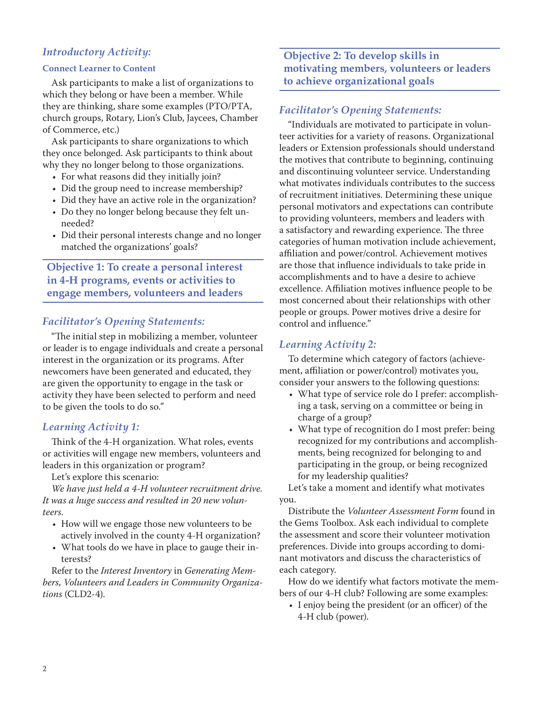#### *Introductory Activity:*

#### **Connect Learner to Content**

Ask participants to make a list of organizations to which they belong or have been a member. While they are thinking, share some examples (PTO/PTA, church groups, Rotary, Lion's Club, Jaycees, Chamber of Commerce, etc.)

Ask participants to share organizations to which they once belonged. Ask participants to think about why they no longer belong to those organizations.

- For what reasons did they initially join?
- Did the group need to increase membership?
- Did they have an active role in the organization?
- Do they no longer belong because they felt unneeded?
- Did their personal interests change and no longer matched the organizations' goals?

**Objective 1: To create a personal interest in 4-H programs, events or activities to engage members, volunteers and leaders**

#### *Facilitator's Opening Statements:*

"The initial step in mobilizing a member, volunteer or leader is to engage individuals and create a personal interest in the organization or its programs. After newcomers have been generated and educated, they are given the opportunity to engage in the task or activity they have been selected to perform and need to be given the tools to do so."

#### *Learning Activity 1:*

Think of the 4-H organization. What roles, events or activities will engage new members, volunteers and leaders in this organization or program?

Let's explore this scenario:

*We have just held a 4-H volunteer recruitment drive. It was a huge success and resulted in 20 new volunteers.*

- How will we engage those new volunteers to be actively involved in the county 4-H organization?
- What tools do we have in place to gauge their interests?

Refer to the *Interest Inventory* in *Generating Members, Volunteers and Leaders in Community Organizations* (CLD2-4).

**Objective 2: To develop skills in motivating members, volunteers or leaders to achieve organizational goals**

#### *Facilitator's Opening Statements:*

"Individuals are motivated to participate in volunteer activities for a variety of reasons. Organizational leaders or Extension professionals should understand the motives that contribute to beginning, continuing and discontinuing volunteer service. Understanding what motivates individuals contributes to the success of recruitment initiatives. Determining these unique personal motivators and expectations can contribute to providing volunteers, members and leaders with a satisfactory and rewarding experience. The three categories of human motivation include achievement, affiliation and power/control. Achievement motives are those that influence individuals to take pride in accomplishments and to have a desire to achieve excellence. Affiliation motives influence people to be most concerned about their relationships with other people or groups. Power motives drive a desire for control and influence."

#### *Learning Activity 2:*

To determine which category of factors (achievement, affiliation or power/control) motivates you, consider your answers to the following questions:

- What type of service role do I prefer: accomplishing a task, serving on a committee or being in charge of a group?
- What type of recognition do I most prefer: being recognized for my contributions and accomplishments, being recognized for belonging to and participating in the group, or being recognized for my leadership qualities?

Let's take a moment and identify what motivates you.

Distribute the *Volunteer Assessment Form* found in the Gems Toolbox. Ask each individual to complete the assessment and score their volunteer motivation preferences. Divide into groups according to dominant motivators and discuss the characteristics of each category.

How do we identify what factors motivate the members of our 4-H club? Following are some examples:

• I enjoy being the president (or an officer) of the 4-H club (power).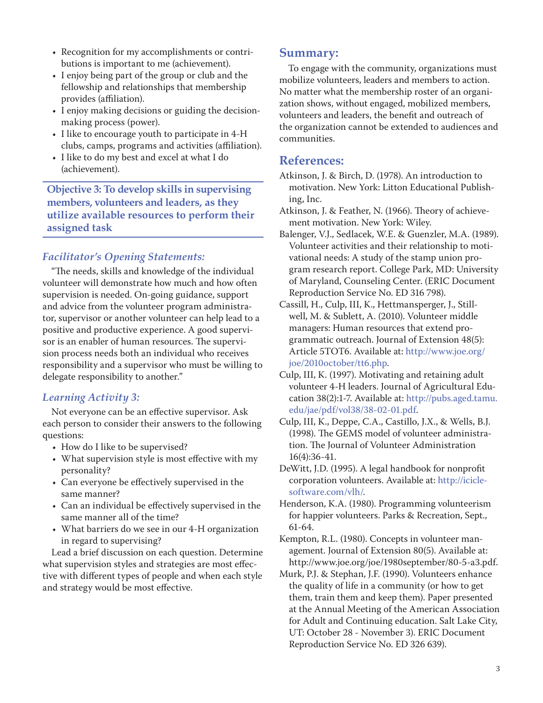- Recognition for my accomplishments or contributions is important to me (achievement).
- I enjoy being part of the group or club and the fellowship and relationships that membership provides (affiliation).
- I enjoy making decisions or guiding the decisionmaking process (power).
- I like to encourage youth to participate in 4-H clubs, camps, programs and activities (affiliation).
- I like to do my best and excel at what I do (achievement).

**Objective 3: To develop skills in supervising members, volunteers and leaders, as they utilize available resources to perform their assigned task**

#### *Facilitator's Opening Statements:*

"The needs, skills and knowledge of the individual volunteer will demonstrate how much and how often supervision is needed. On-going guidance, support and advice from the volunteer program administrator, supervisor or another volunteer can help lead to a positive and productive experience. A good supervisor is an enabler of human resources. The supervision process needs both an individual who receives responsibility and a supervisor who must be willing to delegate responsibility to another."

#### *Learning Activity 3:*

Not everyone can be an effective supervisor. Ask each person to consider their answers to the following questions:

- How do I like to be supervised?
- What supervision style is most effective with my personality?
- Can everyone be effectively supervised in the same manner?
- Can an individual be effectively supervised in the same manner all of the time?
- What barriers do we see in our 4-H organization in regard to supervising?

Lead a brief discussion on each question. Determine what supervision styles and strategies are most effective with different types of people and when each style and strategy would be most effective.

#### **Summary:**

To engage with the community, organizations must mobilize volunteers, leaders and members to action. No matter what the membership roster of an organization shows, without engaged, mobilized members, volunteers and leaders, the benefit and outreach of the organization cannot be extended to audiences and communities.

#### **References:**

Atkinson, J. & Birch, D. (1978). An introduction to motivation. New York: Litton Educational Publishing, Inc.

- Atkinson, J. & Feather, N. (1966). Theory of achievement motivation. New York: Wiley.
- Balenger, V.J., Sedlacek, W.E. & Guenzler, M.A. (1989). Volunteer activities and their relationship to motivational needs: A study of the stamp union program research report. College Park, MD: University of Maryland, Counseling Center. (ERIC Document Reproduction Service No. ED 316 798).
- Cassill, H., Culp, III, K., Hettmansperger, J., Stillwell, M. & Sublett, A. (2010). Volunteer middle managers: Human resources that extend programmatic outreach. Journal of Extension 48(5): Article 5TOT6. Available at: [http://www.joe.org/](http://www.joe.org/joe/2010october/tt6.php) [joe/2010october/tt6.php](http://www.joe.org/joe/2010october/tt6.php).
- Culp, III, K. (1997). Motivating and retaining adult volunteer 4-H leaders. Journal of Agricultural Education 38(2):1-7. Available at: [http://pubs.aged.tamu.](http://pubs.aged.tamu.edu/jae/pdf/vol38/38-02-01.pdf) [edu/jae/pdf/vol38/38-02-01.pdf](http://pubs.aged.tamu.edu/jae/pdf/vol38/38-02-01.pdf).
- Culp, III, K., Deppe, C.A., Castillo, J.X., & Wells, B.J. (1998). The GEMS model of volunteer administration. The Journal of Volunteer Administration 16(4):36-41.
- DeWitt, J.D. (1995). A legal handbook for nonprofit corporation volunteers. Available at: [http://icicle](http://iciclesoftware.com/vlh/)[software.com/vlh/](http://iciclesoftware.com/vlh/).

Henderson, K.A. (1980). Programming volunteerism for happier volunteers. Parks & Recreation, Sept., 61-64.

Kempton, R.L. (1980). Concepts in volunteer management. Journal of Extension 80(5). Available at: http://www.joe.org/joe/1980september/80-5-a3.pdf.

Murk, P.J. & Stephan, J.F. (1990). Volunteers enhance the quality of life in a community (or how to get them, train them and keep them). Paper presented at the Annual Meeting of the American Association for Adult and Continuing education. Salt Lake City, UT: October 28 - November 3). ERIC Document Reproduction Service No. ED 326 639).